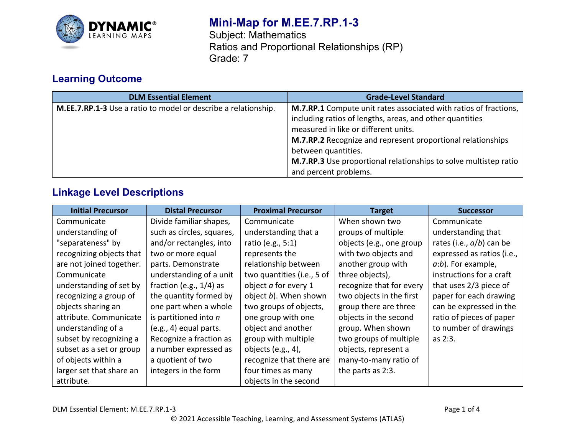

# **Mini-Map for M.EE.7.RP.1-3**

Subject: Mathematics Ratios and Proportional Relationships (RP) Grade: 7

## **Learning Outcome**

| <b>DLM Essential Element</b>                                          | <b>Grade-Level Standard</b>                                                                                                                                                                                                                                                                                                    |  |
|-----------------------------------------------------------------------|--------------------------------------------------------------------------------------------------------------------------------------------------------------------------------------------------------------------------------------------------------------------------------------------------------------------------------|--|
| <b>M.EE.7.RP.1-3</b> Use a ratio to model or describe a relationship. | M.7.RP.1 Compute unit rates associated with ratios of fractions,<br>including ratios of lengths, areas, and other quantities<br>measured in like or different units.<br>M.7.RP.2 Recognize and represent proportional relationships<br>between quantities.<br>M.7.RP.3 Use proportional relationships to solve multistep ratio |  |
|                                                                       | and percent problems.                                                                                                                                                                                                                                                                                                          |  |

## **Linkage Level Descriptions**

| <b>Initial Precursor</b> | <b>Distal Precursor</b>    | <b>Proximal Precursor</b>  | <b>Target</b>            | <b>Successor</b>            |
|--------------------------|----------------------------|----------------------------|--------------------------|-----------------------------|
| Communicate              | Divide familiar shapes,    | Communicate                | When shown two           | Communicate                 |
| understanding of         | such as circles, squares,  | understanding that a       | groups of multiple       | understanding that          |
| "separateness" by        | and/or rectangles, into    | ratio (e.g., 5:1)          | objects (e.g., one group | rates (i.e., $a/b$ ) can be |
| recognizing objects that | two or more equal          | represents the             | with two objects and     | expressed as ratios (i.e.,  |
| are not joined together. | parts. Demonstrate         | relationship between       | another group with       | $a:b$ ). For example,       |
| Communicate              | understanding of a unit    | two quantities (i.e., 5 of | three objects),          | instructions for a craft    |
| understanding of set by  | fraction (e.g., $1/4$ ) as | object a for every 1       | recognize that for every | that uses 2/3 piece of      |
| recognizing a group of   | the quantity formed by     | object b). When shown      | two objects in the first | paper for each drawing      |
| objects sharing an       | one part when a whole      | two groups of objects,     | group there are three    | can be expressed in the     |
| attribute. Communicate   | is partitioned into $n$    | one group with one         | objects in the second    | ratio of pieces of paper    |
| understanding of a       | $(e.g., 4)$ equal parts.   | object and another         | group. When shown        | to number of drawings       |
| subset by recognizing a  | Recognize a fraction as    | group with multiple        | two groups of multiple   | as 2:3.                     |
| subset as a set or group | a number expressed as      | objects (e.g., 4),         | objects, represent a     |                             |
| of objects within a      | a quotient of two          | recognize that there are   | many-to-many ratio of    |                             |
| larger set that share an | integers in the form       | four times as many         | the parts as 2:3.        |                             |
| attribute.               |                            | objects in the second      |                          |                             |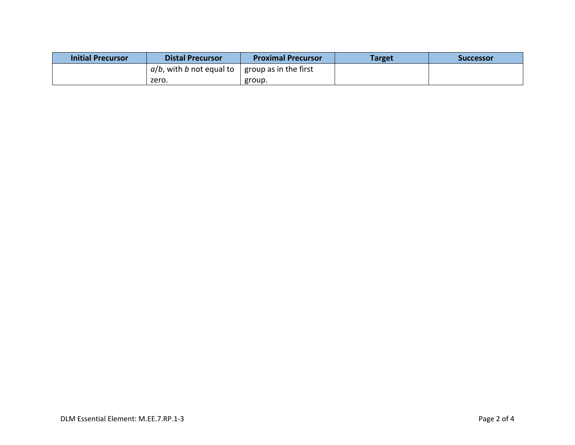| <b>Initial Precursor</b> | <b>Distal Precursor</b>                 | <b>Proximal Precursor</b> | Target | Successor |
|--------------------------|-----------------------------------------|---------------------------|--------|-----------|
|                          | $a/b$ , with b not equal to $\parallel$ | group as in the first     |        |           |
|                          | zero.                                   | group.                    |        |           |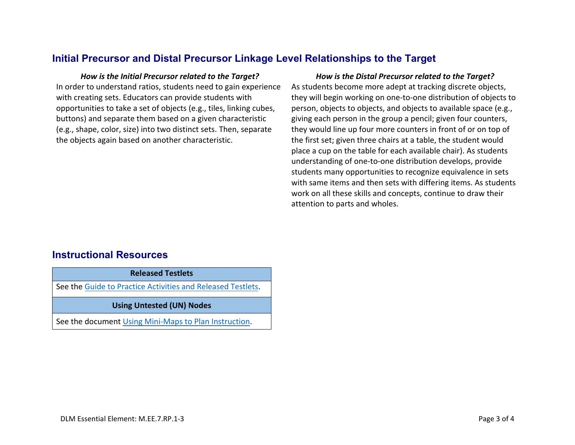### **Initial Precursor and Distal Precursor Linkage Level Relationships to the Target**

In order to understand ratios, students need to gain experience with creating sets. Educators can provide students with opportunities to take a set of objects (e.g., tiles, linking cubes, buttons) and separate them based on a given characteristic (e.g., shape, color, size) into two distinct sets. Then, separate the objects again based on another characteristic.

#### *How is the Initial Precursor related to the Target? How is the Distal Precursor related to the Target?*

As students become more adept at tracking discrete objects, they will begin working on one-to-one distribution of objects to person, objects to objects, and objects to available space (e.g., giving each person in the group a pencil; given four counters, they would line up four more counters in front of or on top of the first set; given three chairs at a table, the student would place a cup on the table for each available chair). As students understanding of one-to-one distribution develops, provide students many opportunities to recognize equivalence in sets with same items and then sets with differing items. As students work on all these skills and concepts, continue to draw their attention to parts and wholes.

### **Instructional Resources**

**Released Testlets** See the [Guide to Practice Activities and Released Testlets.](https://dynamiclearningmaps.org/sites/default/files/documents/Manuals_Blueprints/Guide_to_Practice_Activities_and_Released_Testlets.pdf) **Using Untested (UN) Nodes** See the document [Using Mini-Maps to Plan Instruction.](https://dynamiclearningmaps.org/sites/default/files/documents/Using_Mini_Maps_to_Plan_Instruction.pdf)